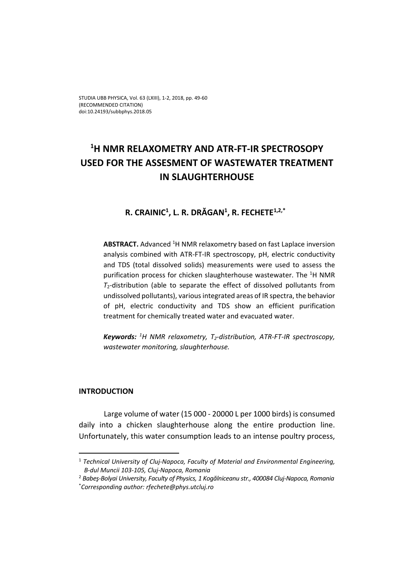# **1 H NMR RELAXOMETRY AND ATR‐FT‐IR SPECTROSOPY USED FOR THE ASSESMENT OF WASTEWATER TREATMENT IN SLAUGHTERHOUSE**

# **R. CRAINIC1 , L. R. DRĂGAN1 , R. FECHETE1,2,\*3**

**ABSTRACT.** Advanced <sup>1</sup>H NMR relaxometry based on fast Laplace inversion analysis combined with ATR‐FT‐IR spectroscopy, pH, electric conductivity and TDS (total dissolved solids) measurements were used to assess the purification process for chicken slaughterhouse wastewater. The <sup>1</sup>H NMR  $T<sub>2</sub>$ -distribution (able to separate the effect of dissolved pollutants from undissolved pollutants), variousintegrated areas of IR spectra, the behavior of pH, electric conductivity and TDS show an efficient purification treatment for chemically treated water and evacuated water.

*Keywords: <sup>1</sup> H NMR relaxometry, T2‐distribution, ATR‐FT‐IR spectroscopy, wastewater monitoring, slaughterhouse.*

### **INTRODUCTION**

Large volume of water (15 000 ‐ 20000 L per 1000 birds) is consumed daily into a chicken slaughterhouse along the entire production line. Unfortunately, this water consumption leads to an intense poultry process,

<sup>1</sup> *Technical University of Cluj‐Napoca, Faculty of Material and Environmental Engineering, B‐dul Muncii 103‐105, Cluj‐Napoca, Romania*

<sup>2</sup> *Babeş‐Bolyai University, Faculty of Physics, 1 Kogălniceanu str., 400084 Cluj‐Napoca, Romania* \* *Corresponding author: rfechete@phys.utcluj.ro*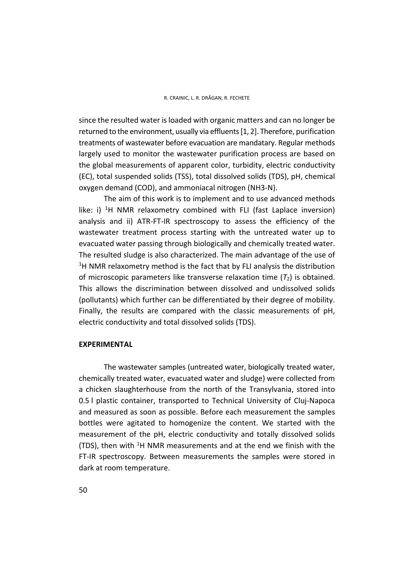since the resulted water isloaded with organic matters and can no longer be returned to the environment, usually via effluents[1, 2]. Therefore, purification treatments of wastewater before evacuation are mandatary. Regular methods largely used to monitor the wastewater purification process are based on the global measurements of apparent color, turbidity, electric conductivity (EC), total suspended solids (TSS), total dissolved solids (TDS), pH, chemical oxygen demand (COD), and ammoniacal nitrogen (NH3‐N).

The aim of this work is to implement and to use advanced methods like: i)  ${}^{1}H$  NMR relaxometry combined with FLI (fast Laplace inversion) analysis and ii) ATR‐FT‐IR spectroscopy to assess the efficiency of the wastewater treatment process starting with the untreated water up to evacuated water passing through biologically and chemically treated water. The resulted sludge is also characterized. The main advantage of the use of <sup>1</sup>H NMR relaxometry method is the fact that by FLI analysis the distribution of microscopic parameters like transverse relaxation time (*T*2) is obtained. This allows the discrimination between dissolved and undissolved solids (pollutants) which further can be differentiated by their degree of mobility. Finally, the results are compared with the classic measurements of pH, electric conductivity and total dissolved solids (TDS).

### **EXPERIMENTAL**

The wastewater samples (untreated water, biologically treated water, chemically treated water, evacuated water and sludge) were collected from a chicken slaughterhouse from the north of the Transylvania, stored into 0.5 l plastic container, transported to Technical University of Cluj‐Napoca and measured as soon as possible. Before each measurement the samples bottles were agitated to homogenize the content. We started with the measurement of the pH, electric conductivity and totally dissolved solids (TDS), then with  $1H$  NMR measurements and at the end we finish with the FT‐IR spectroscopy. Between measurements the samples were stored in dark at room temperature.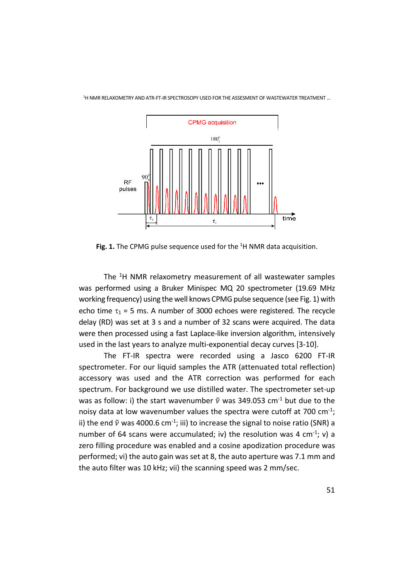1 H NMR RELAXOMETRY AND ATR‐FT‐IR SPECTROSOPY USED FOR THE ASSESMENT OF WASTEWATER TREATMENT …



**Fig. 1.** The CPMG pulse sequence used for the <sup>1</sup>H NMR data acquisition.

The <sup>1</sup>H NMR relaxometry measurement of all wastewater samples was performed using a Bruker Minispec MQ 20 spectrometer (19.69 MHz working frequency) using the well knows CPMG pulse sequence (see Fig. 1) with echo time  $\tau_1$  = 5 ms. A number of 3000 echoes were registered. The recycle delay (RD) was set at 3 s and a number of 32 scans were acquired. The data were then processed using a fast Laplace-like inversion algorithm, intensively used in the last years to analyze multi‐exponential decay curves [3‐10].

The FT‐IR spectra were recorded using a Jasco 6200 FT‐IR spectrometer. For our liquid samples the ATR (attenuated total reflection) accessory was used and the ATR correction was performed for each spectrum. For background we use distilled water. The spectrometer set-up was as follow: i) the start wavenumber  $\tilde{v}$  was 349.053 cm<sup>-1</sup> but due to the noisy data at low wavenumber values the spectra were cutoff at 700  $cm<sup>-1</sup>$ ; ii) the end  $\tilde{v}$  was 4000.6 cm<sup>-1</sup>; iii) to increase the signal to noise ratio (SNR) a number of 64 scans were accumulated; iv) the resolution was 4 cm<sup>-1</sup>; v) a zero filling procedure was enabled and a cosine apodization procedure was performed; vi) the auto gain was set at 8, the auto aperture was 7.1 mm and the auto filter was 10 kHz; vii) the scanning speed was 2 mm/sec.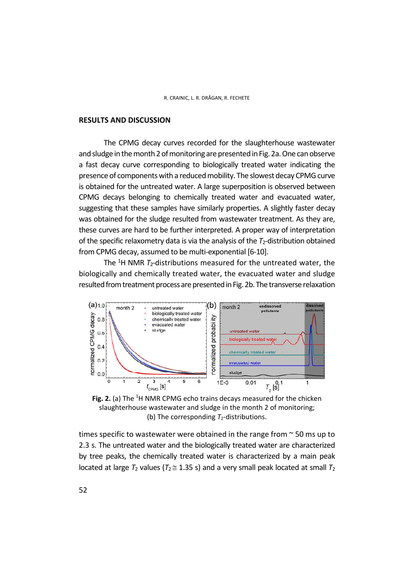#### **RESULTS AND DISCUSSION**

The CPMG decay curves recorded for the slaughterhouse wastewater and sludge in the month 2 of monitoring are presented in Fig. 2a. One can observe a fast decay curve corresponding to biologically treated water indicating the presence of components with a reduced mobility. The slowest decay CPMG curve is obtained for the untreated water. A large superposition is observed between CPMG decays belonging to chemically treated water and evacuated water, suggesting that these samples have similarly properties. A slightly faster decay was obtained for the sludge resulted from wastewater treatment. As they are, these curves are hard to be further interpreted. A proper way of interpretation of the specific relaxometry data is via the analysis of the *T*<sub>2</sub>-distribution obtained from CPMG decay, assumed to be multi-exponential [6-10].

The <sup>1</sup>H NMR *T*<sub>2</sub>-distributions measured for the untreated water, the biologically and chemically treated water, the evacuated water and sludge resulted from treatment process are presented in Fig. 2b. The transverse relaxation



**Fig. 2.** (a) The <sup>1</sup>H NMR CPMG echo trains decays measured for the chicken slaughterhouse wastewater and sludge in the month 2 of monitoring; (b) The corresponding  $T_2$ -distributions.

times specific to wastewater were obtained in the range from ~ 50 ms up to 2.3 s. The untreated water and the biologically treated water are characterized by tree peaks, the chemically treated water is characterized by a main peak located at large  $T_2$  values ( $T_2 \approx 1.35$  s) and a very small peak located at small  $T_2$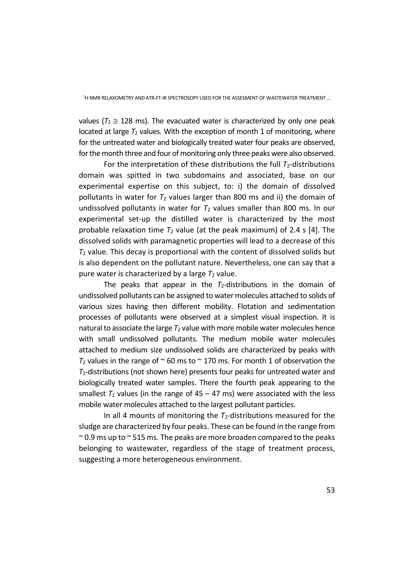values ( $T_2 \approx 128$  ms). The evacuated water is characterized by only one peak located at large  $T_2$  values. With the exception of month 1 of monitoring, where for the untreated water and biologically treated water four peaks are observed, for the month three and four of monitoring only three peaks were also observed.

For the interpretation of these distributions the full  $T_2$ -distributions domain was spitted in two subdomains and associated, base on our experimental expertise on this subject, to: i) the domain of dissolved pollutants in water for  $T_2$  values larger than 800 ms and ii) the domain of undissolved pollutants in water for  $T_2$  values smaller than 800 ms. In our experimental set-up the distilled water is characterized by the most probable relaxation time  $T_2$  value (at the peak maximum) of 2.4 s [4]. The dissolved solids with paramagnetic properties will lead to a decrease of this *T*<sup>2</sup> value. This decay is proportional with the content of dissolved solids but is also dependent on the pollutant nature. Nevertheless, one can say that a pure water is characterized by a large  $T_2$  value.

The peaks that appear in the  $T_2$ -distributions in the domain of undissolved pollutants can be assigned to water molecules attached to solids of various sizes having then different mobility. Flotation and sedimentation processes of pollutants were observed at a simplest visual inspection. It is natural to associate the large  $T_2$  value with more mobile water molecules hence with small undissolved pollutants. The medium mobile water molecules attached to medium size undissolved solids are characterized by peaks with  $T_2$  values in the range of  $\sim$  60 ms to  $\sim$  170 ms. For month 1 of observation the *T*2‐distributions (not shown here) presents four peaks for untreated water and biologically treated water samples. There the fourth peak appearing to the smallest  $T_2$  values (in the range of  $45 - 47$  ms) were associated with the less mobile water molecules attached to the largest pollutant particles.

In all 4 mounts of monitoring the  $T_2$ -distributions measured for the sludge are characterized by four peaks. These can be found in the range from  $\approx$  0.9 ms up to  $\approx$  515 ms. The peaks are more broaden compared to the peaks belonging to wastewater, regardless of the stage of treatment process, suggesting a more heterogeneous environment.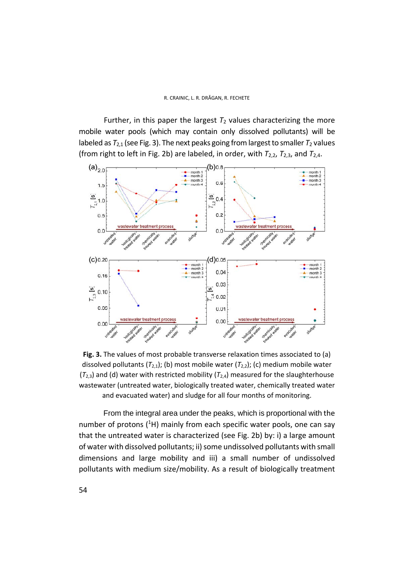Further, in this paper the largest  $T_2$  values characterizing the more mobile water pools (which may contain only dissolved pollutants) will be labeled as  $T_{2,1}$  (see Fig. 3). The next peaks going from largest to smaller  $T_2$  values (from right to left in Fig. 2b) are labeled, in order, with *T*2,2, *T*2,3, and *T*2,4.



**Fig. 3.** The values of most probable transverse relaxation times associated to (a) dissolved pollutants  $(T_{2,1})$ ; (b) most mobile water  $(T_{2,2})$ ; (c) medium mobile water  $(T_{2,3})$  and (d) water with restricted mobility  $(T_{2,4})$  measured for the slaughterhouse wastewater (untreated water, biologically treated water, chemically treated water and evacuated water) and sludge for all four months of monitoring.

From the integral area under the peaks, which is proportional with the number of protons (<sup>1</sup>H) mainly from each specific water pools, one can say that the untreated water is characterized (see Fig. 2b) by: i) a large amount of water with dissolved pollutants; ii) some undissolved pollutants with small dimensions and large mobility and iii) a small number of undissolved pollutants with medium size/mobility. As a result of biologically treatment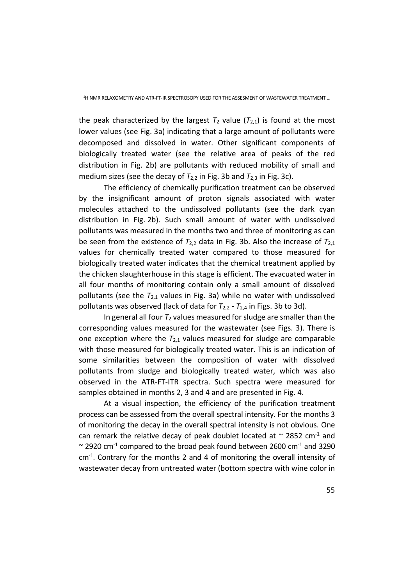the peak characterized by the largest  $T_2$  value  $(T_{2,1})$  is found at the most lower values (see Fig. 3a) indicating that a large amount of pollutants were decomposed and dissolved in water. Other significant components of biologically treated water (see the relative area of peaks of the red distribution in Fig. 2b) are pollutants with reduced mobility of small and medium sizes (see the decay of  $T_{2,2}$  in Fig. 3b and  $T_{2,3}$  in Fig. 3c).

The efficiency of chemically purification treatment can be observed by the insignificant amount of proton signals associated with water molecules attached to the undissolved pollutants (see the dark cyan distribution in Fig. 2b). Such small amount of water with undissolved pollutants was measured in the months two and three of monitoring as can be seen from the existence of  $T_{2,2}$  data in Fig. 3b. Also the increase of  $T_{2,1}$ values for chemically treated water compared to those measured for biologically treated water indicates that the chemical treatment applied by the chicken slaughterhouse in this stage is efficient. The evacuated water in all four months of monitoring contain only a small amount of dissolved pollutants (see the *T*2,1 values in Fig. 3a) while no water with undissolved pollutants was observed (lack of data for *T*2,2 ‐ *T*2,4 in Figs. 3b to 3d).

In general all four  $T_2$  values measured for sludge are smaller than the corresponding values measured for the wastewater (see Figs. 3). There is one exception where the  $T_{2,1}$  values measured for sludge are comparable with those measured for biologically treated water. This is an indication of some similarities between the composition of water with dissolved pollutants from sludge and biologically treated water, which was also observed in the ATR‐FT‐ITR spectra. Such spectra were measured for samples obtained in months 2, 3 and 4 and are presented in Fig. 4.

At a visual inspection, the efficiency of the purification treatment process can be assessed from the overall spectral intensity. For the months 3 of monitoring the decay in the overall spectral intensity is not obvious. One can remark the relative decay of peak doublet located at  $\sim$  2852 cm<sup>-1</sup> and  $\sim$  2920 cm<sup>-1</sup> compared to the broad peak found between 2600 cm<sup>-1</sup> and 3290  $cm<sup>-1</sup>$ . Contrary for the months 2 and 4 of monitoring the overall intensity of wastewater decay from untreated water (bottom spectra with wine color in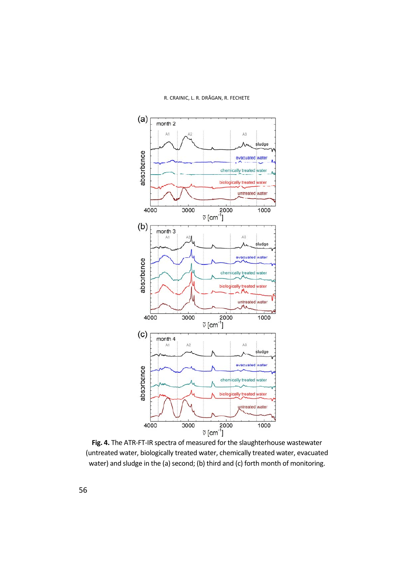

R. CRAINIC, L. R. DRĂGAN, R. FECHETE

**Fig. 4.** The ATR‐FT‐IR spectra of measured for the slaughterhouse wastewater (untreated water, biologically treated water, chemically treated water, evacuated water) and sludge in the (a) second; (b) third and (c) forth month of monitoring.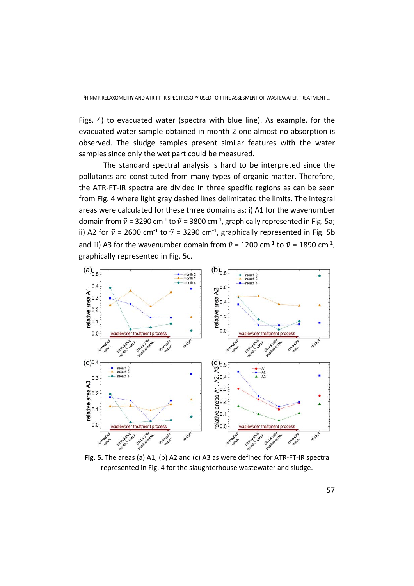Figs. 4) to evacuated water (spectra with blue line). As example, for the evacuated water sample obtained in month 2 one almost no absorption is observed. The sludge samples present similar features with the water samples since only the wet part could be measured.

The standard spectral analysis is hard to be interpreted since the pollutants are constituted from many types of organic matter. Therefore, the ATR‐FT‐IR spectra are divided in three specific regions as can be seen from Fig. 4 where light gray dashed lines delimitated the limits. The integral areas were calculated for these three domains as: i) A1 for the wavenumber domain from  $\widetilde{v}$  = 3290 cm<sup>-1</sup> to  $\widetilde{v}$  = 3800 cm<sup>-1</sup>, graphically represented in Fig. 5a; ii) A2 for  $\tilde{v}$  = 2600 cm<sup>-1</sup> to  $\tilde{v}$  = 3290 cm<sup>-1</sup>, graphically represented in Fig. 5b and iii) A3 for the wavenumber domain from  $\tilde{v}$  = 1200 cm<sup>-1</sup> to  $\tilde{v}$  = 1890 cm<sup>-1</sup>, graphically represented in Fig. 5c.



**Fig. 5.** The areas (a) A1; (b) A2 and (c) A3 as were defined for ATR‐FT‐IR spectra represented in Fig. 4 for the slaughterhouse wastewater and sludge.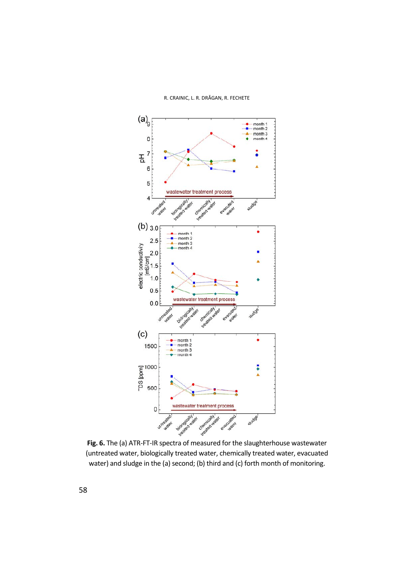

**Fig. 6.** The (a) ATR‐FT‐IR spectra of measured for the slaughterhouse wastewater (untreated water, biologically treated water, chemically treated water, evacuated water) and sludge in the (a) second; (b) third and (c) forth month of monitoring.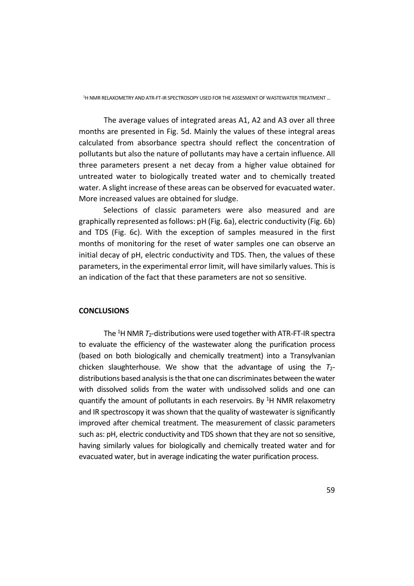1 H NMR RELAXOMETRY AND ATR‐FT‐IR SPECTROSOPY USED FOR THE ASSESMENT OF WASTEWATER TREATMENT …

The average values of integrated areas A1, A2 and A3 over all three months are presented in Fig. 5d. Mainly the values of these integral areas calculated from absorbance spectra should reflect the concentration of pollutants but also the nature of pollutants may have a certain influence. All three parameters present a net decay from a higher value obtained for untreated water to biologically treated water and to chemically treated water. A slight increase of these areas can be observed for evacuated water. More increased values are obtained for sludge.

Selections of classic parameters were also measured and are graphically represented as follows: pH (Fig. 6a), electric conductivity (Fig. 6b) and TDS (Fig. 6c). With the exception of samples measured in the first months of monitoring for the reset of water samples one can observe an initial decay of pH, electric conductivity and TDS. Then, the values of these parameters, in the experimental error limit, will have similarly values. This is an indication of the fact that these parameters are not so sensitive.

## **CONCLUSIONS**

The <sup>1</sup>H NMR *T*2-distributions were used together with ATR-FT-IR spectra to evaluate the efficiency of the wastewater along the purification process (based on both biologically and chemically treatment) into a Transylvanian chicken slaughterhouse. We show that the advantage of using the *T*2‐ distributions based analysis is the that one can discriminates between the water with dissolved solids from the water with undissolved solids and one can quantify the amount of pollutants in each reservoirs. By <sup>1</sup>H NMR relaxometry and IR spectroscopy it was shown that the quality of wastewater is significantly improved after chemical treatment. The measurement of classic parameters such as: pH, electric conductivity and TDS shown that they are not so sensitive, having similarly values for biologically and chemically treated water and for evacuated water, but in average indicating the water purification process.